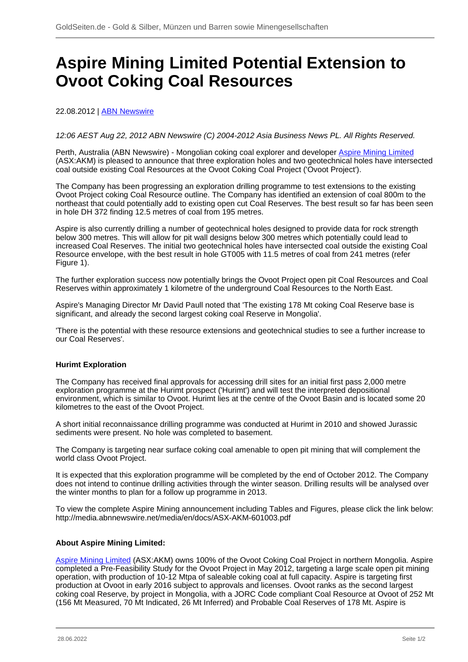# **Aspire Mining Limited Potential Extension to Ovoot Coking Coal Resources**

# 22.08.2012 | [ABN Newswire](/profil/222--ABN-Newswire)

## 12:06 AEST Aug 22, 2012 ABN Newswire (C) 2004-2012 Asia Business News PL. All Rights Reserved.

Perth, Australia (ABN Newswire) - Mongolian coking coal explorer and developer [Aspire Mining Limited](/minen/1673--Aspire-Mining-Ltd) (ASX:AKM) is pleased to announce that three exploration holes and two geotechnical holes have intersected coal outside existing Coal Resources at the Ovoot Coking Coal Project ('Ovoot Project').

The Company has been progressing an exploration drilling programme to test extensions to the existing Ovoot Project coking Coal Resource outline. The Company has identified an extension of coal 800m to the northeast that could potentially add to existing open cut Coal Reserves. The best result so far has been seen in hole DH 372 finding 12.5 metres of coal from 195 metres.

Aspire is also currently drilling a number of geotechnical holes designed to provide data for rock strength below 300 metres. This will allow for pit wall designs below 300 metres which potentially could lead to increased Coal Reserves. The initial two geotechnical holes have intersected coal outside the existing Coal Resource envelope, with the best result in hole GT005 with 11.5 metres of coal from 241 metres (refer Figure 1).

The further exploration success now potentially brings the Ovoot Project open pit Coal Resources and Coal Reserves within approximately 1 kilometre of the underground Coal Resources to the North East.

Aspire's Managing Director Mr David Paull noted that 'The existing 178 Mt coking Coal Reserve base is significant, and already the second largest coking coal Reserve in Mongolia'.

'There is the potential with these resource extensions and geotechnical studies to see a further increase to our Coal Reserves'.

#### **Hurimt Exploration**

The Company has received final approvals for accessing drill sites for an initial first pass 2,000 metre exploration programme at the Hurimt prospect ('Hurimt') and will test the interpreted depositional environment, which is similar to Ovoot. Hurimt lies at the centre of the Ovoot Basin and is located some 20 kilometres to the east of the Ovoot Project.

A short initial reconnaissance drilling programme was conducted at Hurimt in 2010 and showed Jurassic sediments were present. No hole was completed to basement.

The Company is targeting near surface coking coal amenable to open pit mining that will complement the world class Ovoot Project.

It is expected that this exploration programme will be completed by the end of October 2012. The Company does not intend to continue drilling activities through the winter season. Drilling results will be analysed over the winter months to plan for a follow up programme in 2013.

To view the complete Aspire Mining announcement including Tables and Figures, please click the link below: http://media.abnnewswire.net/media/en/docs/ASX-AKM-601003.pdf

#### **About Aspire Mining Limited:**

[Aspire Mining Limited](/minen/1673--Aspire-Mining-Ltd) (ASX:AKM) owns 100% of the Ovoot Coking Coal Project in northern Mongolia. Aspire completed a Pre-Feasibility Study for the Ovoot Project in May 2012, targeting a large scale open pit mining operation, with production of 10-12 Mtpa of saleable coking coal at full capacity. Aspire is targeting first production at Ovoot in early 2016 subject to approvals and licenses. Ovoot ranks as the second largest coking coal Reserve, by project in Mongolia, with a JORC Code compliant Coal Resource at Ovoot of 252 Mt (156 Mt Measured, 70 Mt Indicated, 26 Mt Inferred) and Probable Coal Reserves of 178 Mt. Aspire is